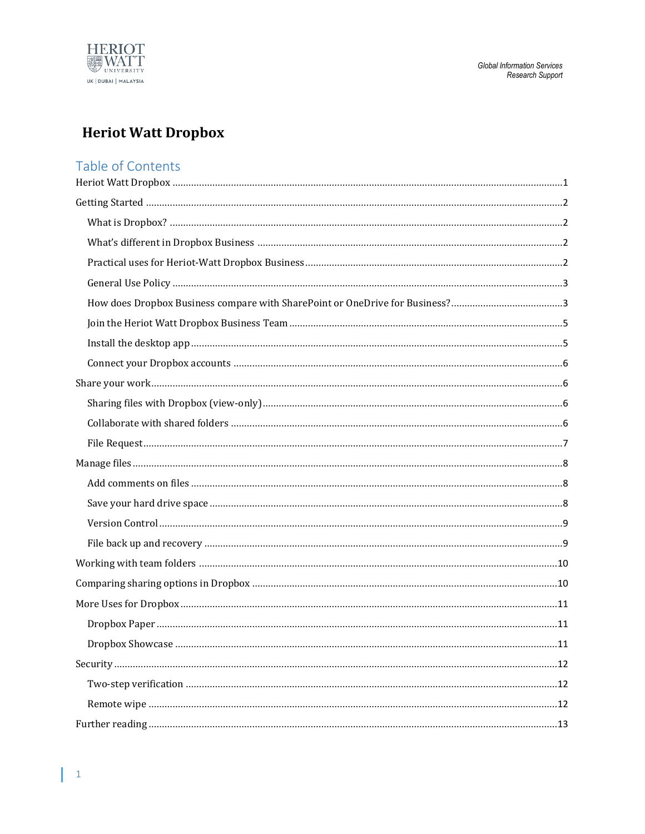

# <span id="page-0-0"></span>**Heriot Watt Dropbox**

## Table of Contents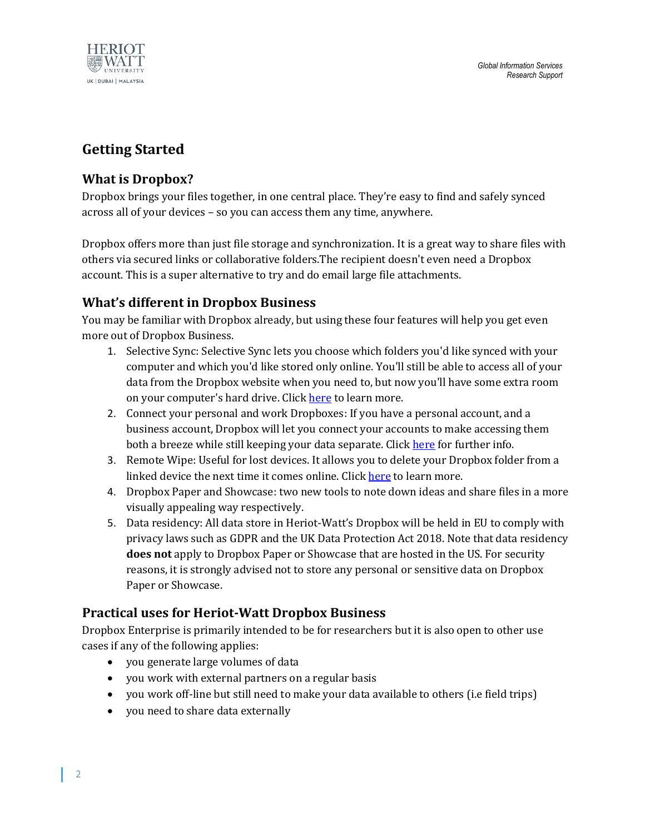

## <span id="page-1-0"></span>**Getting Started**

## <span id="page-1-1"></span>**What is Dropbox?**

Dropbox brings your files together, in one central place. They're easy to find and safely synced across all of your devices – so you can access them any time, anywhere.

Dropbox offers more than just file storage and synchronization. It is a great way to share files with others via secured links or collaborative folders.The recipient doesn't even need a Dropbox account. This is a super alternative to try and do email large file attachments.

## <span id="page-1-2"></span>**What's different in Dropbox Business**

You may be familiar with Dropbox already, but using these four features will help you get even more out of Dropbox Business.

- 1. Selective Sync: Selective Sync lets you choose which folders you'd like synced with your computer and which you'd like stored only online. You'll still be able to access all of your data from the Dropbox website when you need to, but now you'll have some extra room on your computer's hard drive. Click [here](https://www.dropbox.com/guide/business/manage-files/save-your-hard-drive-space) to learn more.
- 2. Connect your personal and work Dropboxes: If you have a personal account, and a business account, Dropbox will let you connect your accounts to make accessing them both a breeze while still keeping your data separate. Click [here](https://www.dropbox.com/guide/business/set-up/connect-your-dropboxes) for further info.
- 3. Remote Wipe: Useful for lost devices. It allows you to delete your Dropbox folder from a linked device the next time it comes online. Click [here](https://www.dropbox.com/guide/business/security/remote-wipe) to learn more.
- 4. Dropbox Paper and Showcase: two new tools to note down ideas and share files in a more visually appealing way respectively.
- 5. Data residency: All data store in Heriot-Watt's Dropbox will be held in EU to comply with privacy laws such as GDPR and the UK Data Protection Act 2018. Note that data residency **does not** apply to Dropbox Paper or Showcase that are hosted in the US. For security reasons, it is strongly advised not to store any personal or sensitive data on Dropbox Paper or Showcase.

## <span id="page-1-3"></span>**Practical uses for Heriot-Watt Dropbox Business**

Dropbox Enterprise is primarily intended to be for researchers but it is also open to other use cases if any of the following applies:

- you generate large volumes of data
- you work with external partners on a regular basis
- you work off-line but still need to make your data available to others (i.e field trips)
- you need to share data externally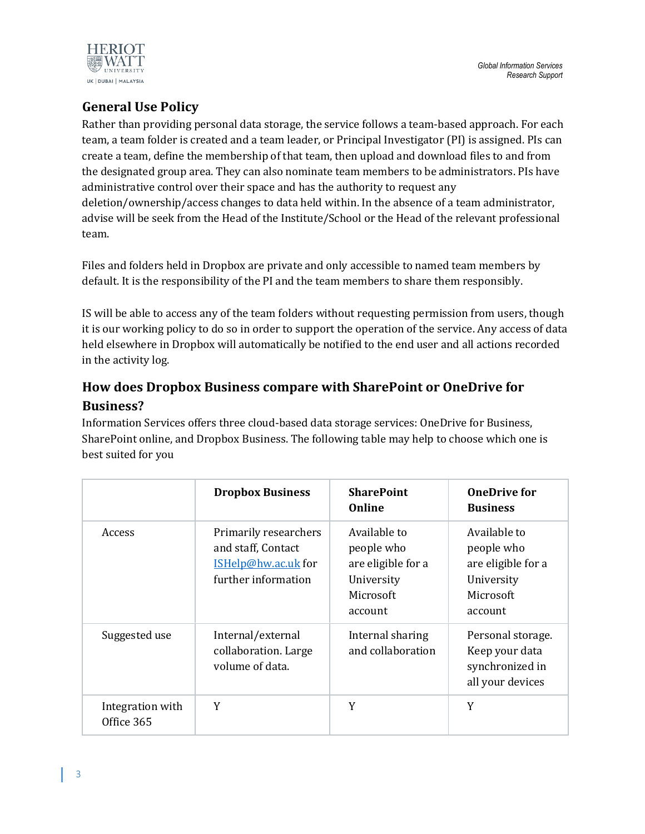

## <span id="page-2-0"></span>**General Use Policy**

Rather than providing personal data storage, the service follows a team-based approach. For each team, a team folder is created and a team leader, or Principal Investigator (PI) is assigned. PIs can create a team, define the membership of that team, then upload and download files to and from the designated group area. They can also nominate team members to be administrators. PIs have administrative control over their space and has the authority to request any deletion/ownership/access changes to data held within. In the absence of a team administrator, advise will be seek from the Head of the Institute/School or the Head of the relevant professional team.

Files and folders held in Dropbox are private and only accessible to named team members by default. It is the responsibility of the PI and the team members to share them responsibly.

IS will be able to access any of the team folders without requesting permission from users, though it is our working policy to do so in order to support the operation of the service. Any access of data held elsewhere in Dropbox will automatically be notified to the end user and all actions recorded in the activity log.

## <span id="page-2-1"></span>**How does Dropbox Business compare with SharePoint or OneDrive for Business?**

Information Services offers three cloud-based data storage services: OneDrive for Business, SharePoint online, and Dropbox Business. The following table may help to choose which one is best suited for you

|                                | <b>Dropbox Business</b>                                                                   | <b>SharePoint</b><br>Online                                                            | <b>OneDrive for</b><br><b>Business</b>                                                 |
|--------------------------------|-------------------------------------------------------------------------------------------|----------------------------------------------------------------------------------------|----------------------------------------------------------------------------------------|
| Access                         | Primarily researchers<br>and staff, Contact<br>ISHelp@hw.ac.uk for<br>further information | Available to<br>people who<br>are eligible for a<br>University<br>Microsoft<br>account | Available to<br>people who<br>are eligible for a<br>University<br>Microsoft<br>account |
| Suggested use                  | Internal/external<br>collaboration. Large<br>volume of data.                              | Internal sharing<br>and collaboration                                                  | Personal storage.<br>Keep your data<br>synchronized in<br>all your devices             |
| Integration with<br>Office 365 | Y                                                                                         | Y                                                                                      | Y                                                                                      |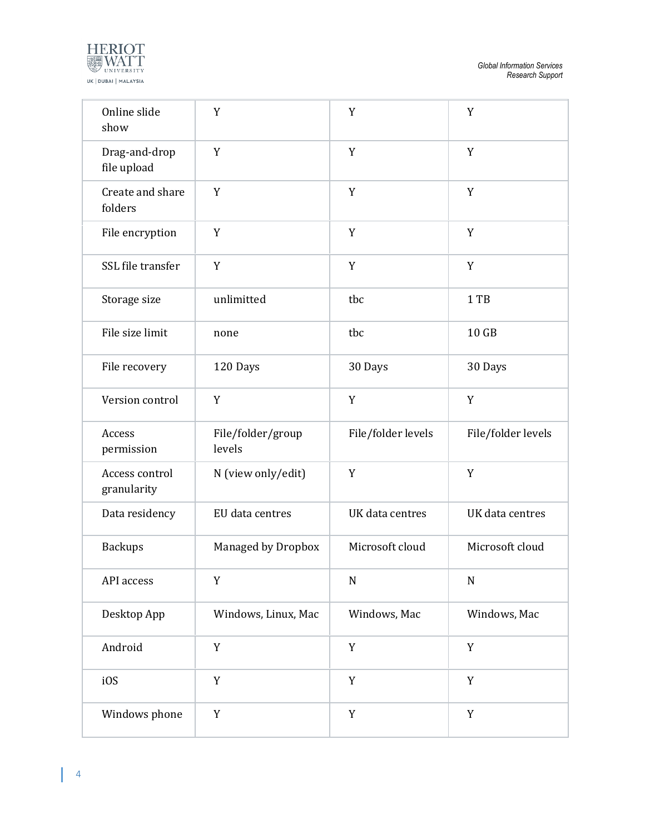

| Online slide<br>show          | Y                           | Y                  | Y                  |
|-------------------------------|-----------------------------|--------------------|--------------------|
| Drag-and-drop<br>file upload  | Y                           | Y                  | Y                  |
| Create and share<br>folders   | Y                           | Y                  | Y                  |
| File encryption               | Y                           | $\mathbf Y$        | Y                  |
| SSL file transfer             | Y                           | Y                  | Y                  |
| Storage size                  | unlimitted                  | tbc                | 1 TB               |
| File size limit               | none                        | tbc                | 10 GB              |
| File recovery                 | 120 Days                    | 30 Days            | 30 Days            |
| Version control               | Y                           | Y                  | Y                  |
| Access<br>permission          | File/folder/group<br>levels | File/folder levels | File/folder levels |
| Access control<br>granularity | N (view only/edit)          | Y                  | Y                  |
| Data residency                | EU data centres             | UK data centres    | UK data centres    |
| <b>Backups</b>                | Managed by Dropbox          | Microsoft cloud    | Microsoft cloud    |
| API access                    | Y                           | ${\bf N}$          | $\mathbf N$        |
| Desktop App                   | Windows, Linux, Mac         | Windows, Mac       | Windows, Mac       |
| Android                       | Y                           | Y                  | $\mathbf Y$        |
| i0S                           | $\mathbf Y$                 | $\mathbf Y$        | $\mathbf Y$        |
| Windows phone                 | Y                           | $\mathbf Y$        | $\mathbf Y$        |

L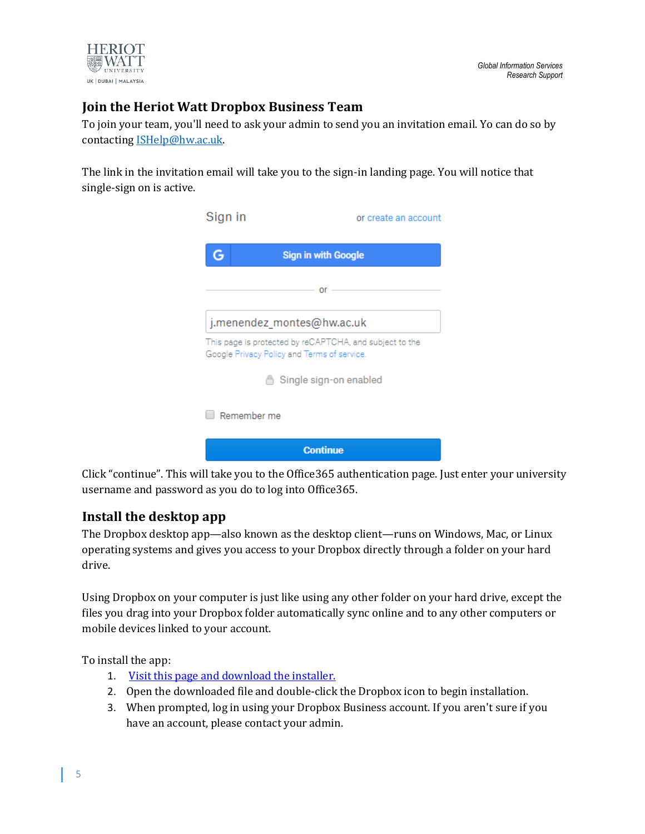

## <span id="page-4-0"></span>**Join the Heriot Watt Dropbox Business Team**

To join your team, you'll need to ask your admin to send you an invitation email. Yo can do so by contactin[g ISHelp@hw.ac.uk.](mailto:ISHelp@hw.ac.uk)

The link in the invitation email will take you to the sign-in landing page. You will notice that single-sign on is active.



Click "continue". This will take you to the Office365 authentication page. Just enter your university username and password as you do to log into Office365.

## <span id="page-4-1"></span>**Install the desktop app**

The Dropbox desktop app—also known as the desktop client—runs on Windows, Mac, or Linux operating systems and gives you access to your Dropbox directly through a folder on your hard drive.

Using Dropbox on your computer is just like using any other folder on your hard drive, except the files you drag into your Dropbox folder automatically sync online and to any other computers or mobile devices linked to your account.

To install the app:

- 1. [Visit this page and download the installer.](https://www.dropbox.com/install)
- 2. Open the downloaded file and double-click the Dropbox icon to begin installation.
- 3. When prompted, log in using your Dropbox Business account. If you aren't sure if you have an account, please contact your admin.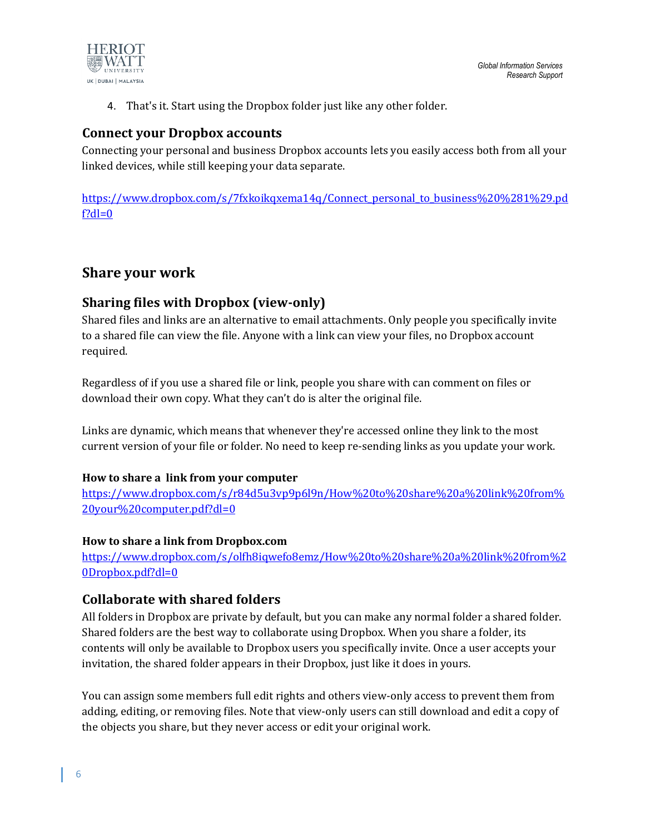

4. That's it. Start using the Dropbox folder just like any other folder.

### <span id="page-5-0"></span>**Connect your Dropbox accounts**

Connecting your personal and business Dropbox accounts lets you easily access both from all your linked devices, while still keeping your data separate.

[https://www.dropbox.com/s/7fxkoikqxema14q/Connect\\_personal\\_to\\_business%20%281%29.pd](https://www.dropbox.com/s/7fxkoikqxema14q/Connect_personal_to_business%20%281%29.pdf?dl=0)  $f?dl=0$ 

## <span id="page-5-1"></span>**Share your work**

### <span id="page-5-2"></span>**Sharing files with Dropbox (view-only)**

Shared files and links are an alternative to email attachments. Only people you specifically invite to a shared file can view the file. Anyone with a link can view your files, no Dropbox account required.

Regardless of if you use a shared file or link, people you share with can comment on files or download their own copy. What they can't do is alter the original file.

Links are dynamic, which means that whenever they're accessed online they link to the most current version of your file or folder. No need to keep re-sending links as you update your work.

#### **How to share a link from your computer**

[https://www.dropbox.com/s/r84d5u3vp9p6l9n/How%20to%20share%20a%20link%20from%](https://www.dropbox.com/s/r84d5u3vp9p6l9n/How%20to%20share%20a%20link%20from%20your%20computer.pdf?dl=0) [20your%20computer.pdf?dl=0](https://www.dropbox.com/s/r84d5u3vp9p6l9n/How%20to%20share%20a%20link%20from%20your%20computer.pdf?dl=0)

#### **How to share a link from Dropbox.com**

[https://www.dropbox.com/s/olfh8iqwefo8emz/How%20to%20share%20a%20link%20from%2](https://www.dropbox.com/s/olfh8iqwefo8emz/How%20to%20share%20a%20link%20from%20Dropbox.pdf?dl=0) [0Dropbox.pdf?dl=0](https://www.dropbox.com/s/olfh8iqwefo8emz/How%20to%20share%20a%20link%20from%20Dropbox.pdf?dl=0)

### <span id="page-5-3"></span>**Collaborate with shared folders**

All folders in Dropbox are private by default, but you can make any normal folder a shared folder. Shared folders are the best way to collaborate using Dropbox. When you share a folder, its contents will only be available to Dropbox users you specifically invite. Once a user accepts your invitation, the shared folder appears in their Dropbox, just like it does in yours.

You can assign some members full edit rights and others view-only access to prevent them from adding, editing, or removing files. Note that view-only users can still download and edit a copy of the objects you share, but they never access or edit your original work.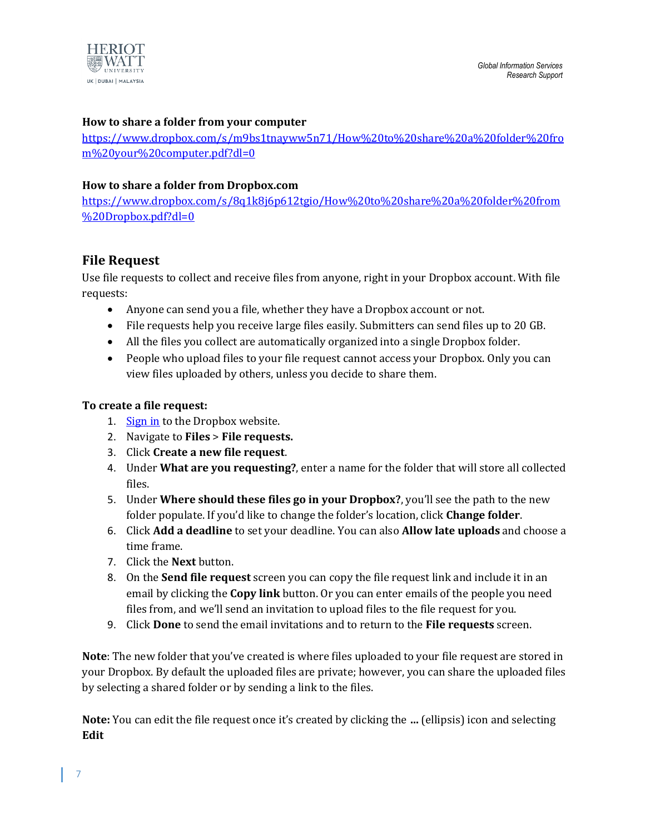

#### **How to share a folder from your computer**

[https://www.dropbox.com/s/m9bs1tnayww5n71/How%20to%20share%20a%20folder%20fro](https://www.dropbox.com/s/m9bs1tnayww5n71/How%20to%20share%20a%20folder%20from%20your%20computer.pdf?dl=0) [m%20your%20computer.pdf?dl=0](https://www.dropbox.com/s/m9bs1tnayww5n71/How%20to%20share%20a%20folder%20from%20your%20computer.pdf?dl=0)

#### **How to share a folder from Dropbox.com**

[https://www.dropbox.com/s/8q1k8j6p612tgio/How%20to%20share%20a%20folder%20from](https://www.dropbox.com/s/8q1k8j6p612tgio/How%20to%20share%20a%20folder%20from%20Dropbox.pdf?dl=0) [%20Dropbox.pdf?dl=0](https://www.dropbox.com/s/8q1k8j6p612tgio/How%20to%20share%20a%20folder%20from%20Dropbox.pdf?dl=0)

### <span id="page-6-0"></span>**File Request**

Use file requests to collect and receive files from anyone, right in your Dropbox account. With file requests:

- Anyone can send you a file, whether they have a Dropbox account or not.
- File requests help you receive large files easily. Submitters can send files up to 20 GB.
- All the files you collect are automatically organized into a single Dropbox folder.
- People who upload files to your file request cannot access your Dropbox. Only you can view files uploaded by others, unless you decide to share them.

#### **To create a file request:**

- 1. [Sign in](https://www.dropbox.com/login) to the Dropbox website.
- 2. Navigate to **Files** > **File requests.**
- 3. Click **Create a new file request**.
- 4. Under **What are you requesting?**, enter a name for the folder that will store all collected files.
- 5. Under **Where should these files go in your Dropbox?**, you'll see the path to the new folder populate. If you'd like to change the folder's location, click **Change folder**.
- 6. Click **Add a deadline** to set your deadline. You can also **Allow late uploads** and choose a time frame.
- 7. Click the **Next** button.
- 8. On the **Send file request** screen you can copy the file request link and include it in an email by clicking the **Copy link** button. Or you can enter emails of the people you need files from, and we'll send an invitation to upload files to the file request for you.
- 9. Click **Done** to send the email invitations and to return to the **File requests** screen.

**Note**: The new folder that you've created is where files uploaded to your file request are stored in your Dropbox. By default the uploaded files are private; however, you can share the uploaded files by selecting a shared folder or by sending a link to the files.

**Note:** You can edit the file request once it's created by clicking the **…** (ellipsis) icon and selecting **Edit**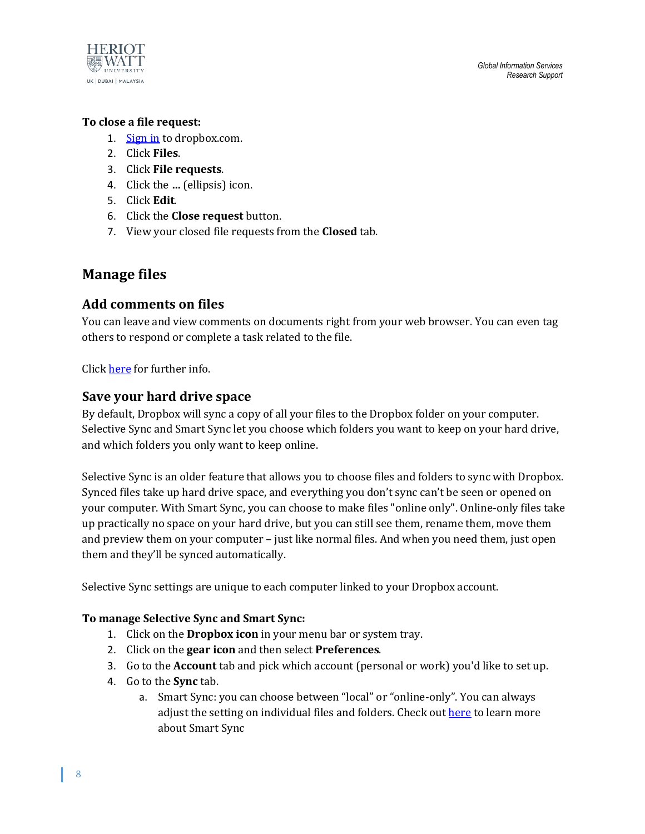

#### **To close a file request:**

- 1. [Sign in](https://www.dropbox.com/login) to dropbox.com.
- 2. Click **Files**.
- 3. Click **File requests**.
- 4. Click the **…** (ellipsis) icon.
- 5. Click **Edit**.
- 6. Click the **Close request** button.
- 7. View your closed file requests from the **Closed** tab.

## <span id="page-7-0"></span>**Manage files**

### <span id="page-7-1"></span>**Add comments on files**

You can leave and view comments on documents right from your web browser. You can even tag others to respond or complete a task related to the file.

Click [here](https://www.dropbox.com/guide/business/manage-files/comments) for further info.

### <span id="page-7-2"></span>**Save your hard drive space**

By default, Dropbox will sync a copy of all your files to the Dropbox folder on your computer. Selective Sync and Smart Sync let you choose which folders you want to keep on your hard drive, and which folders you only want to keep online.

Selective Sync is an older feature that allows you to choose files and folders to sync with Dropbox. Synced files take up hard drive space, and everything you don't sync can't be seen or opened on your computer. With Smart Sync, you can choose to make files "online only". Online-only files take up practically no space on your hard drive, but you can still see them, rename them, move them and preview them on your computer – just like normal files. And when you need them, just open them and they'll be synced automatically.

Selective Sync settings are unique to each computer linked to your Dropbox account.

#### **To manage Selective Sync and Smart Sync:**

- 1. Click on the **Dropbox icon** in your menu bar or system tray.
- 2. Click on the **gear icon** and then select **Preferences**.
- 3. Go to the **Account** tab and pick which account (personal or work) you'd like to set up.
- 4. Go to the **Sync** tab.
	- a. Smart Sync: you can choose between "local" or "online-only". You can always adjust the setting on individual files and folders. Check out [here](https://www.dropbox.com/help/desktop-web/smart-sync) to learn more about Smart Sync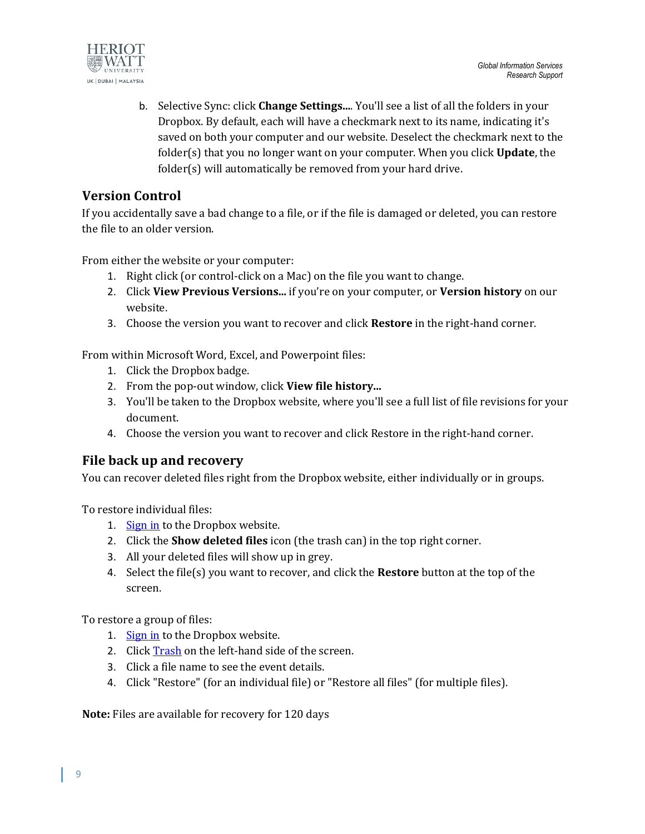

b. Selective Sync: click **Change Settings...**. You'll see a list of all the folders in your Dropbox. By default, each will have a checkmark next to its name, indicating it's saved on both your computer and our website. Deselect the checkmark next to the folder(s) that you no longer want on your computer. When you click **Update**, the folder(s) will automatically be removed from your hard drive.

## <span id="page-8-0"></span>**Version Control**

If you accidentally save a bad change to a file, or if the file is damaged or deleted, you can restore the file to an older version.

From either the website or your computer:

- 1. Right click (or control-click on a Mac) on the file you want to change.
- 2. Click **View Previous Versions...** if you're on your computer, or **Version history** on our website.
- 3. Choose the version you want to recover and click **Restore** in the right-hand corner.

From within Microsoft Word, Excel, and Powerpoint files:

- 1. Click the Dropbox badge.
- 2. From the pop-out window, click **View file history...**
- 3. You'll be taken to the Dropbox website, where you'll see a full list of file revisions for your document.
- 4. Choose the version you want to recover and click Restore in the right-hand corner.

## <span id="page-8-1"></span>**File back up and recovery**

You can recover deleted files right from the Dropbox website, either individually or in groups.

To restore individual files:

- 1. [Sign in](https://www.dropbox.com/login) to the Dropbox website.
- 2. Click the **Show deleted files** icon (the trash can) in the top right corner.
- 3. All your deleted files will show up in grey.
- 4. Select the file(s) you want to recover, and click the **Restore** button at the top of the screen.

To restore a group of files:

- 1. [Sign in](https://www.dropbox.com/login) to the Dropbox website.
- 2. Click [Trash](https://www.dropbox.com/trash) on the left-hand side of the screen.
- 3. Click a file name to see the event details.
- 4. Click "Restore" (for an individual file) or "Restore all files" (for multiple files).

**Note:** Files are available for recovery for 120 days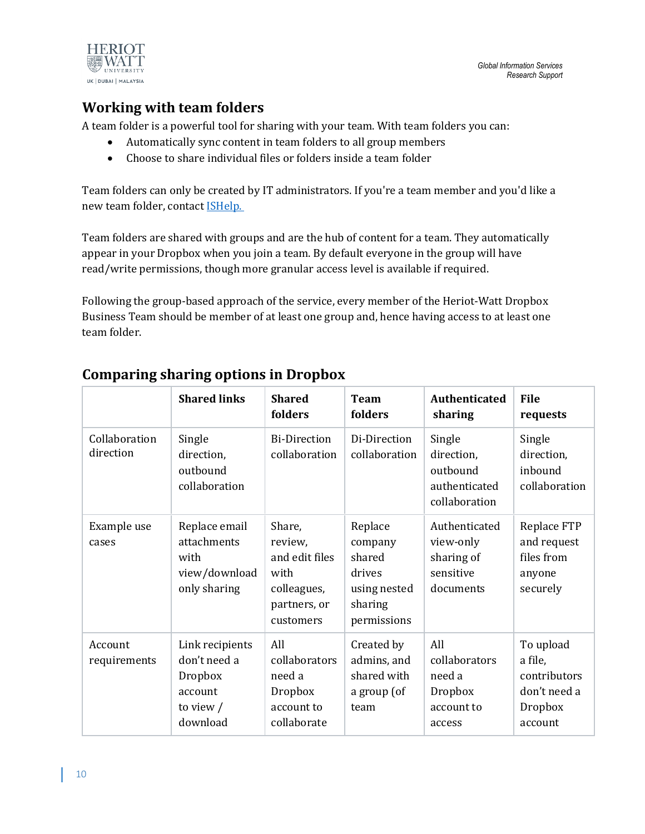

## <span id="page-9-0"></span>**Working with team folders**

A team folder is a powerful tool for sharing with your team. With team folders you can:

- Automatically sync content in team folders to all group members
- Choose to share individual files or folders inside a team folder

Team folders can only be created by IT administrators. If you're a team member and you'd like a new team folder, contact **ISHelp.** 

Team folders are shared with groups and are the hub of content for a team. They automatically appear in your Dropbox when you join a team. By default everyone in the group will have read/write permissions, though more granular access level is available if required.

Following the group-based approach of the service, every member of the Heriot-Watt Dropbox Business Team should be member of at least one group and, hence having access to at least one team folder.

|                            | <b>Shared links</b>                                                              | <b>Shared</b><br>folders                                                                | <b>Team</b><br>folders                                                           | Authenticated<br>sharing                                           | <b>File</b><br>requests                                                    |
|----------------------------|----------------------------------------------------------------------------------|-----------------------------------------------------------------------------------------|----------------------------------------------------------------------------------|--------------------------------------------------------------------|----------------------------------------------------------------------------|
| Collaboration<br>direction | Single<br>direction,<br>outbound<br>collaboration                                | <b>Bi-Direction</b><br>collaboration                                                    | Di-Direction<br>collaboration                                                    | Single<br>direction,<br>outbound<br>authenticated<br>collaboration | Single<br>direction,<br>inbound<br>collaboration                           |
| Example use<br>cases       | Replace email<br>attachments<br>with<br>view/download<br>only sharing            | Share,<br>review,<br>and edit files<br>with<br>colleagues,<br>partners, or<br>customers | Replace<br>company<br>shared<br>drives<br>using nested<br>sharing<br>permissions | Authenticated<br>view-only<br>sharing of<br>sensitive<br>documents | Replace FTP<br>and request<br>files from<br>anyone<br>securely             |
| Account<br>requirements    | Link recipients<br>don't need a<br>Dropbox<br>account<br>to view $/$<br>download | All<br>collaborators<br>need a<br><b>Dropbox</b><br>account to<br>collaborate           | Created by<br>admins, and<br>shared with<br>a group (of<br>team                  | All<br>collaborators<br>need a<br>Dropbox<br>account to<br>access  | To upload<br>a file,<br>contributors<br>don't need a<br>Dropbox<br>account |

## <span id="page-9-1"></span>**Comparing sharing options in Dropbox**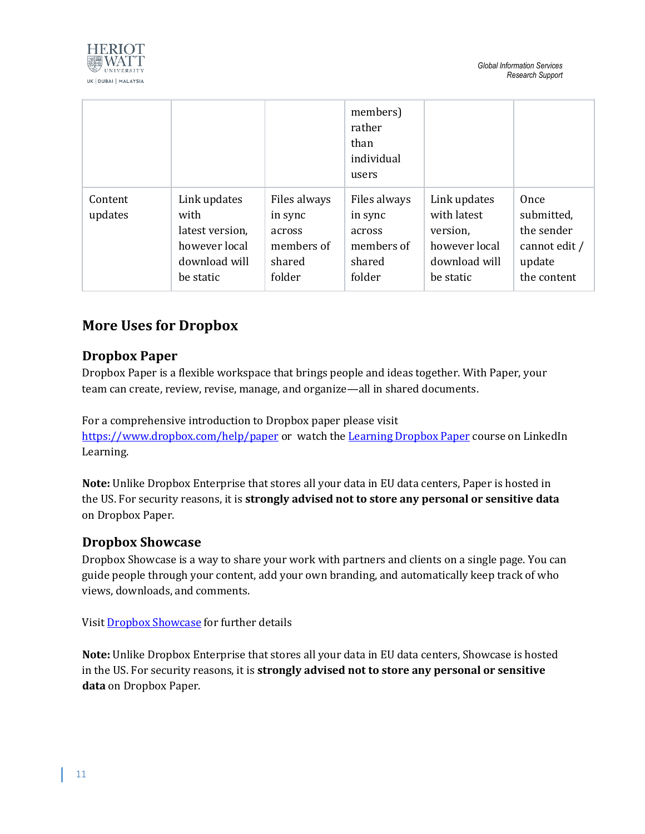



|                    |                                                                                        |                                                                     | members)<br>rather<br>than<br>individual<br>users                   |                                                                                        |                                                                            |
|--------------------|----------------------------------------------------------------------------------------|---------------------------------------------------------------------|---------------------------------------------------------------------|----------------------------------------------------------------------------------------|----------------------------------------------------------------------------|
| Content<br>updates | Link updates<br>with<br>latest version,<br>however local<br>download will<br>be static | Files always<br>in sync<br>across<br>members of<br>shared<br>folder | Files always<br>in sync<br>across<br>members of<br>shared<br>folder | Link updates<br>with latest<br>version,<br>however local<br>download will<br>be static | Once<br>submitted,<br>the sender<br>cannot edit /<br>update<br>the content |

## <span id="page-10-0"></span>**More Uses for Dropbox**

## <span id="page-10-1"></span>**Dropbox Paper**

Dropbox Paper is a flexible workspace that brings people and ideas together. With Paper, your team can create, review, revise, manage, and organize—all in shared documents.

For a comprehensive introduction to Dropbox paper please visit <https://www.dropbox.com/help/paper> or watch the [Learning Dropbox Paper](https://www.linkedin.com/learning/learning-dropbox-paper/create-a-presentation?u=2374954) course on LinkedIn Learning.

**Note:** Unlike Dropbox Enterprise that stores all your data in EU data centers, Paper is hosted in the US. For security reasons, it is **strongly advised not to store any personal or sensitive data** on Dropbox Paper.

### <span id="page-10-2"></span>**Dropbox Showcase**

Dropbox Showcase is a way to share your work with partners and clients on a single page. You can guide people through your content, add your own branding, and automatically keep track of who views, downloads, and comments.

Visi[t Dropbox Showcase](https://www.dropbox.com/help/showcase) for further details

**Note:** Unlike Dropbox Enterprise that stores all your data in EU data centers, Showcase is hosted in the US. For security reasons, it is **strongly advised not to store any personal or sensitive data** on Dropbox Paper.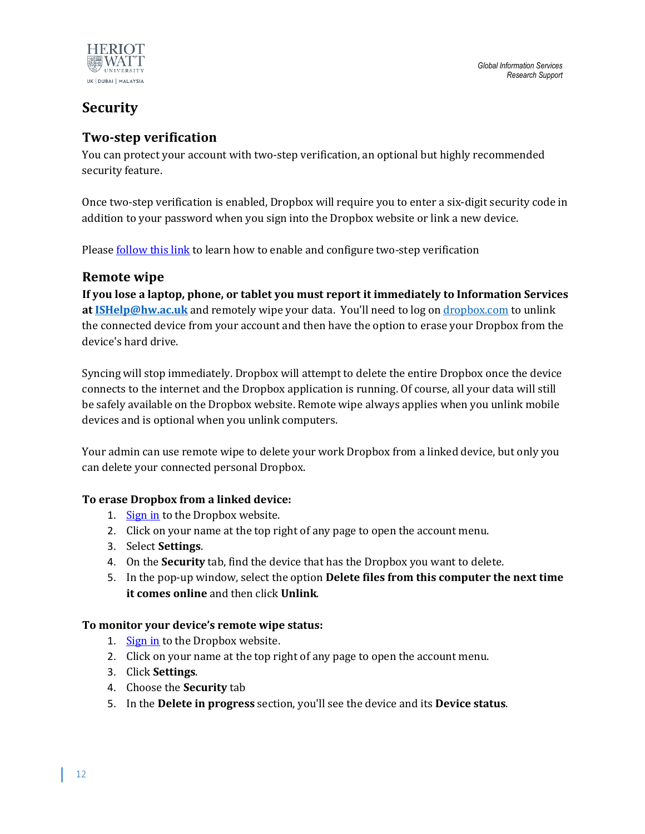

## <span id="page-11-0"></span>**Security**

## <span id="page-11-1"></span>**Two-step verification**

You can protect your account with two-step verification, an optional but highly recommended security feature.

Once two-step verification is enabled, Dropbox will require you to enter a six-digit security code in addition to your password when you sign into the Dropbox website or link a new device.

Pleas[e follow this link](https://www.dropbox.com/guide/business/security/add-an-extra-layer-of-security) to learn how to enable and configure two-step verification

## <span id="page-11-2"></span>**Remote wipe**

**If you lose a laptop, phone, or tablet you must report it immediately to Information Services at [ISHelp@hw.ac.uk](mailto:ISHelp@hw.ac.uk)** and remotely wipe your data. You'll need to log on [dropbox.com](http://www.dropbox.co.uk/) to unlink the connected device from your account and then have the option to erase your Dropbox from the device's hard drive.

Syncing will stop immediately. Dropbox will attempt to delete the entire Dropbox once the device connects to the internet and the Dropbox application is running. Of course, all your data will still be safely available on the Dropbox website. Remote wipe always applies when you unlink mobile devices and is optional when you unlink computers.

Your admin can use remote wipe to delete your work Dropbox from a linked device, but only you can delete your connected personal Dropbox.

### **To erase Dropbox from a linked device:**

- 1. [Sign in](https://www.dropbox.com/login) to the Dropbox website.
- 2. Click on your name at the top right of any page to open the account menu.
- 3. Select **Settings**.
- 4. On the **Security** tab, find the device that has the Dropbox you want to delete.
- 5. In the pop-up window, select the option **Delete files from this computer the next time it comes online** and then click **Unlink**.

### **To monitor your device's remote wipe status:**

- 1. [Sign in](https://www.dropbox.com/login) to the Dropbox website.
- 2. Click on your name at the top right of any page to open the account menu.
- 3. Click **Settings**.
- 4. Choose the **Security** tab
- 5. In the **Delete in progress** section, you'll see the device and its **Device status**.